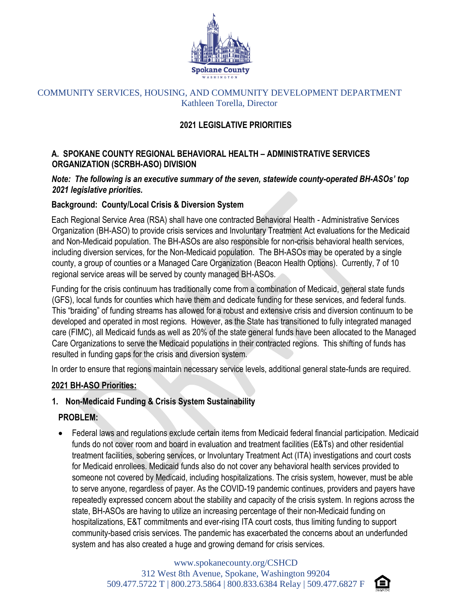

### COMMUNITY SERVICES, HOUSING, AND COMMUNITY DEVELOPMENT DEPARTMENT Kathleen Torella, Director

# **2021 LEGISLATIVE PRIORITIES**

## **A. SPOKANE COUNTY REGIONAL BEHAVIORAL HEALTH – ADMINISTRATIVE SERVICES ORGANIZATION (SCRBH-ASO) DIVISION**

## *Note: The following is an executive summary of the seven, statewide county-operated BH-ASOs' top 2021 legislative priorities.*

### **Background: County/Local Crisis & Diversion System**

Each Regional Service Area (RSA) shall have one contracted Behavioral Health - Administrative Services Organization (BH-ASO) to provide crisis services and Involuntary Treatment Act evaluations for the Medicaid and Non-Medicaid population. The BH-ASOs are also responsible for non-crisis behavioral health services, including diversion services, for the Non-Medicaid population. The BH-ASOs may be operated by a single county, a group of counties or a Managed Care Organization (Beacon Health Options). Currently, 7 of 10 regional service areas will be served by county managed BH-ASOs.

Funding for the crisis continuum has traditionally come from a combination of Medicaid, general state funds (GFS), local funds for counties which have them and dedicate funding for these services, and federal funds. This "braiding" of funding streams has allowed for a robust and extensive crisis and diversion continuum to be developed and operated in most regions. However, as the State has transitioned to fully integrated managed care (FIMC), all Medicaid funds as well as 20% of the state general funds have been allocated to the Managed Care Organizations to serve the Medicaid populations in their contracted regions. This shifting of funds has resulted in funding gaps for the crisis and diversion system.

In order to ensure that regions maintain necessary service levels, additional general state-funds are required.

### **2021 BH-ASO Priorities:**

# **1. Non-Medicaid Funding & Crisis System Sustainability**

### **PROBLEM:**

 Federal laws and regulations exclude certain items from Medicaid federal financial participation. Medicaid funds do not cover room and board in evaluation and treatment facilities (E&Ts) and other residential treatment facilities, sobering services, or Involuntary Treatment Act (ITA) investigations and court costs for Medicaid enrollees. Medicaid funds also do not cover any behavioral health services provided to someone not covered by Medicaid, including hospitalizations. The crisis system, however, must be able to serve anyone, regardless of payer. As the COVID-19 pandemic continues, providers and payers have repeatedly expressed concern about the stability and capacity of the crisis system. In regions across the state, BH-ASOs are having to utilize an increasing percentage of their non-Medicaid funding on hospitalizations, E&T commitments and ever-rising ITA court costs, thus limiting funding to support community-based crisis services. The pandemic has exacerbated the concerns about an underfunded system and has also created a huge and growing demand for crisis services.

> [www.spokanecounty.org/CSHCD](http://www.spokanecounty.org/CSHCD) 312 West 8th Avenue, Spokane, Washington 99204 509.477.5722 T | 800.273.5864 | 800.833.6384 Relay | 509.477.6827 F

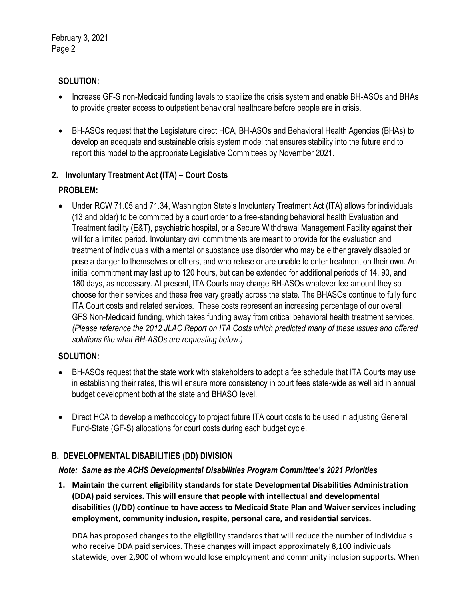February 3, 2021 Page 2

## **SOLUTION:**

- Increase GF-S non-Medicaid funding levels to stabilize the crisis system and enable BH-ASOs and BHAs to provide greater access to outpatient behavioral healthcare before people are in crisis.
- BH-ASOs request that the Legislature direct HCA, BH-ASOs and Behavioral Health Agencies (BHAs) to develop an adequate and sustainable crisis system model that ensures stability into the future and to report this model to the appropriate Legislative Committees by November 2021.

# **2. Involuntary Treatment Act (ITA) – Court Costs**

# **PROBLEM:**

 Under RCW 71.05 and 71.34, Washington State's Involuntary Treatment Act (ITA) allows for individuals (13 and older) to be committed by a court order to a free-standing behavioral health Evaluation and Treatment facility (E&T), psychiatric hospital, or a Secure Withdrawal Management Facility against their will for a limited period. Involuntary civil commitments are meant to provide for the evaluation and treatment of individuals with a mental or substance use disorder who may be either gravely disabled or pose a danger to themselves or others, and who refuse or are unable to enter treatment on their own. An initial commitment may last up to 120 hours, but can be extended for additional periods of 14, 90, and 180 days, as necessary. At present, ITA Courts may charge BH-ASOs whatever fee amount they so choose for their services and these free vary greatly across the state. The BHASOs continue to fully fund ITA Court costs and related services. These costs represent an increasing percentage of our overall GFS Non-Medicaid funding, which takes funding away from critical behavioral health treatment services. *(Please reference the 2012 JLAC Report on ITA Costs which predicted many of these issues and offered solutions like what BH-ASOs are requesting below.)*

# **SOLUTION:**

- BH-ASOs request that the state work with stakeholders to adopt a fee schedule that ITA Courts may use in establishing their rates, this will ensure more consistency in court fees state-wide as well aid in annual budget development both at the state and BHASO level.
- Direct HCA to develop a methodology to project future ITA court costs to be used in adjusting General Fund-State (GF-S) allocations for court costs during each budget cycle.

# **B. DEVELOPMENTAL DISABILITIES (DD) DIVISION**

# *Note: Same as the ACHS Developmental Disabilities Program Committee's 2021 Priorities*

**1. Maintain the current eligibility standards for state Developmental Disabilities Administration (DDA) paid services. This will ensure that people with intellectual and developmental disabilities (I/DD) continue to have access to Medicaid State Plan and Waiver services including employment, community inclusion, respite, personal care, and residential services.**

DDA has proposed changes to the eligibility standards that will reduce the number of individuals who receive DDA paid services. These changes will impact approximately 8,100 individuals statewide, over 2,900 of whom would lose employment and community inclusion supports. When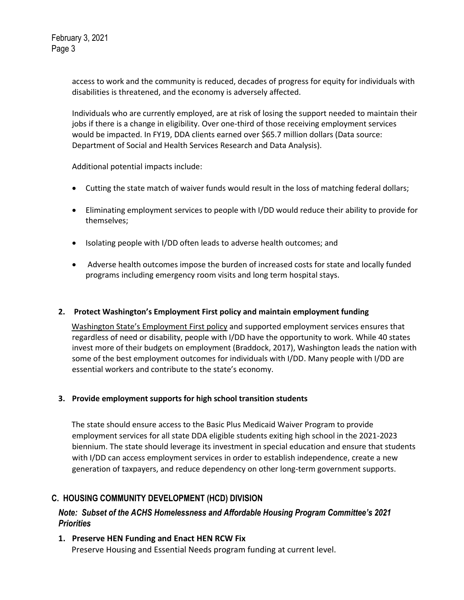access to work and the community is reduced, decades of progress for equity for individuals with disabilities is threatened, and the economy is adversely affected.

Individuals who are currently employed, are at risk of losing the support needed to maintain their jobs if there is a change in eligibility. Over one-third of those receiving employment services would be impacted. In FY19, DDA clients earned over \$65.7 million dollars (Data source: Department of Social and Health Services Research and Data Analysis).

Additional potential impacts include:

- Cutting the state match of waiver funds would result in the loss of matching federal dollars;
- Eliminating employment services to people with I/DD would reduce their ability to provide for themselves;
- Isolating people with I/DD often leads to adverse health outcomes; and
- Adverse health outcomes impose the burden of increased costs for state and locally funded programs including emergency room visits and long term hospital stays.

#### **2. Protect Washington's Employment First policy and maintain employment funding**

[Washington State's Employment First policy](https://www.dshs.wa.gov/sites/default/files/DDA/dda/documents/policy/policy4.11.pdf) and supported employment services ensures that regardless of need or disability, people with I/DD have the opportunity to work. While 40 states invest more of their budgets on employment (Braddock, 2017), Washington leads the nation with some of the best employment outcomes for individuals with I/DD. Many people with I/DD are essential workers and contribute to the state's economy.

#### **3. Provide employment supports for high school transition students**

The state should ensure access to the Basic Plus Medicaid Waiver Program to provide employment services for all state DDA eligible students exiting high school in the 2021-2023 biennium. The state should leverage its investment in special education and ensure that students with I/DD can access employment services in order to establish independence, create a new generation of taxpayers, and reduce dependency on other long-term government supports.

### **C. HOUSING COMMUNITY DEVELOPMENT (HCD) DIVISION**

### *Note: Subset of the ACHS Homelessness and Affordable Housing Program Committee's 2021 Priorities*

**1. Preserve HEN Funding and Enact HEN RCW Fix** Preserve Housing and Essential Needs program funding at current level.